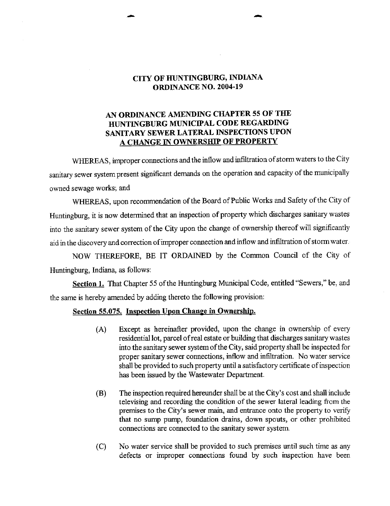## CITY OF HUNTINGBURG, INDIANA **ORDINANCE NO. 2004-19**

## AN ORDINANCE AMENDING CHAPTER <sup>55</sup> OF THE HUNTINGBURG MUNICIPAL CODE REGARDING SANITARY SEWER LATERAL INSPECTIONS UPON A CHANGE IN OWNERSHIP OF PROPERTY

WHEREAS, improper connections and the inflow and infiltration of storm waters to the City sanitary sewer system present significant demands on the operation and capacity of the municipally owned sewage works; and

WHEREAS, upon recommendation of the Board of Public Works and Safety of the City of Huntingburg, it is now determined that an inspection of property which discharges sanitary wastes into the sanitary sewer system of the City upon the change of ownership thereof will significantly aid in the discovery and correction ofimproper connection and inflow and infiltration of storm water.

NOW THEREFORE, BE IT ORDAINED by the Common Council of the City of Huntingburg, Indiana, as follows:

Section 1. That Chapter 55 of the Huntingburg Municipal Code, entitled "Sewers," be, and the same is hereby amended by adding thereto the following provision:

## Section 55.075. Inspection Upon Change in Ownership.

- A) Except as hereinafter provided, upon the change in ownership of every residential lot, parcel of real estate or building that discharges sanitary wastes into the sanitary sewer system ofthe City, said property shall be inspected for proper sanitary sewer connections, inflow and infiltration. No water service shall be provided to such property until a satisfactory certificate of inspection has been issued by the Wastewater Department.
- B) The inspection required hereunder shall be at the City' <sup>s</sup> cost and shall include televising and recording the condition of the sewer lateral leading from the premises to the City's sewer main, and entrance onto the property to verify that no sump pump, foundation drains, down spouts, or other prohibited connections are connected to the sanitary sewer system
- C) No water service shall be provided to such premises until such time as any defects or improper connections found by such inspection have been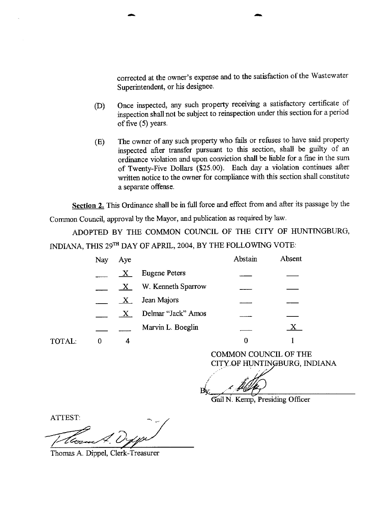corrected at the owner's expense and to the satisfaction of the Wastewater Superintendent, or his designee.

- D) Once inspected, any such property receiving <sup>a</sup> satisfactory certificate of inspection shall not be subject to reinspection under this section for <sup>a</sup> period of five  $(5)$  years.
- E) The owner of any such property who fails or refuses to have said property inspected after transfer pursuant to this section, shall be guilty of an ordinance violation and upon conviction shall be liable for <sup>a</sup> fine in the sum of Twenty-Five Dollars (\$25.00). Each day a violation continues after written notice to the owner for compliance with this section shall constitute a separate offense.

Section 2. This Ordinance shall be in full force and effect from and after its passage by the

Common Council, approval by the Mayor, and publication as required by law.

ADOPTED BY THE COMMON COUNCIL OF THE CITY OF HUNTINGBURG, INDIANA, THIS 29TH DAY OF APRIL, 2004, BY THE FOLLOWING VOTE:

| Nay | Aye              |                      | Abstain | Absent |
|-----|------------------|----------------------|---------|--------|
|     | $\mathbf{X}$     | <b>Eugene Peters</b> |         |        |
|     | $\mathbf{X}_{-}$ | W. Kenneth Sparrow   |         |        |
|     | $\mathbf{X}_{-}$ | Jean Majors          |         |        |
|     | $\mathbf{X}$     | Delmar "Jack" Amos   |         |        |
|     |                  | Marvin L. Boeglin    |         | X      |
|     |                  |                      |         |        |

COMMON COUNCIL OF THE CITYOF HUNTINGBURG, INDIANA

 $B_{V}$ 

Gail N. Kemp, Presiding Officer

ATTEST:

TOTAL:

7.400-

Thomas A. Dippel, Clerk-Treasurer